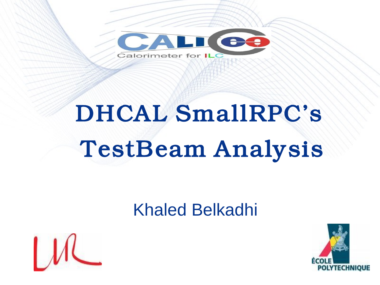

# *DHCAL SmallRPC's TestBeam Analysis*

### Khaled Belkadhi



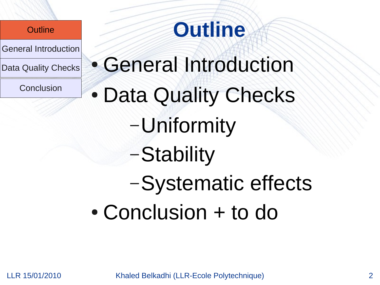General Introduction

Data Quality Checks

**Conclusion** 

## **Outline**

• General Introduction • Data Quality Checks –Uniformity –Stability –Systematic effects • Conclusion + to do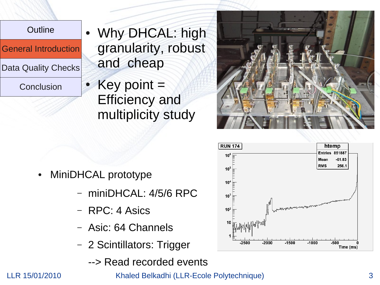General Introduction

Data Quality Checks

Conclusion

- Why DHCAL: high granularity, robust and cheap
- Key point  $=$ Efficiency and multiplicity study



- miniDHCAL: 4/5/6 RPC
- RPC: 4 Asics
- Asic: 64 Channels
- 2 Scintillators: Trigger
	- --> Read recorded events





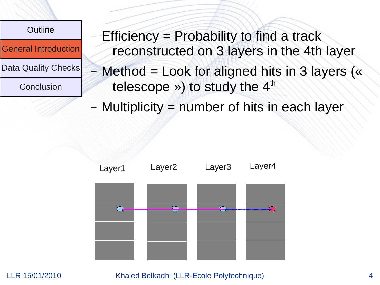

General Introduction

Data Quality Checks

**Conclusion** 

Efficiency = Probability to find a track reconstructed on 3 layers in the 4th layer

– Method = Look for aligned hits in 3 layers (« telescope ») to study the  $4<sup>th</sup>$ 

– Multiplicity = number of hits in each layer

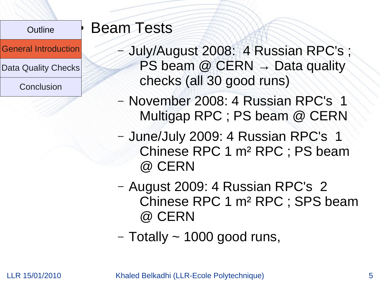General Introduction

Data Quality Checks

Conclusion

### **Beam Tests**

- July/August 2008: 4 Russian RPC's ; PS beam  $@$  CERN  $\rightarrow$  Data quality checks (all 30 good runs)
- November 2008: 4 Russian RPC's 1 Multigap RPC ; PS beam @ CERN
- June/July 2009: 4 Russian RPC's 1 Chinese RPC 1 m² RPC ; PS beam @ CERN
- August 2009: 4 Russian RPC's 2 Chinese RPC 1 m² RPC ; SPS beam @ CERN
- $-$  Totally  $\sim$  1000 good runs,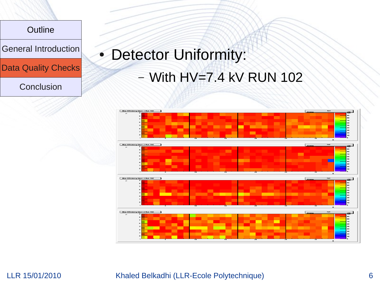General Introduction

Data Quality Checks

**Conclusion** 

## • Detector Uniformity: – With HV=7.4 kV RUN 102

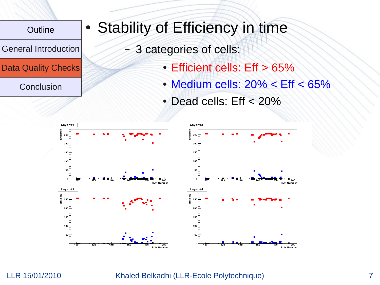General Introduction

Data Quality Checks

**Conclusion** 

### • Stability of Efficiency in time

- 3 categories of cells:
	- Efficient cells: Eff > 65%
	- $\bullet$  Medium cells: 20%  $\lt$  Eff  $\lt$  65%

**RUN Numbe** 

**DUN Numbe** 

 $\cdot$  Dead cells: Eff < 20%

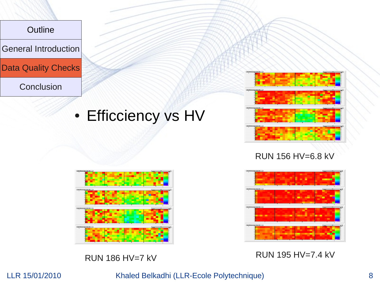

General Introduction

Data Quality Checks

**Conclusion** 

### • Efficciency vs HV



RUN 156 HV=6.8 kV





RUN 186 HV=7 kV RUN 195 HV=7.4 kV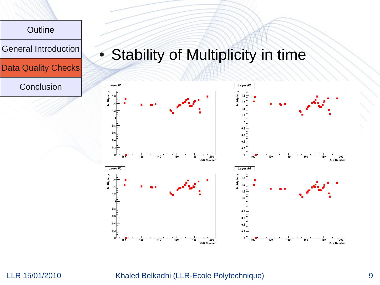

#### LLR 15/01/2010 Khaled Belkadhi (LLR-Ecole Polytechnique) 9

200

 $\frac{200}{200}$ 

**RUN Number** 

**RUN Number** 

160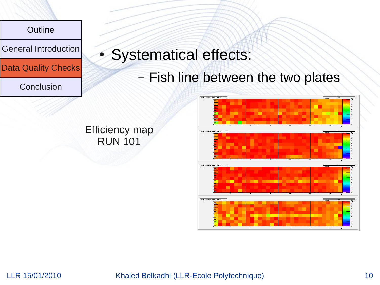General Introduction

Data Quality Checks

**Conclusion** 

### • Systematical effects:

– Fish line between the two plates



Efficiency map RUN 101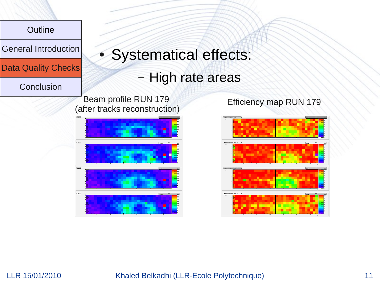